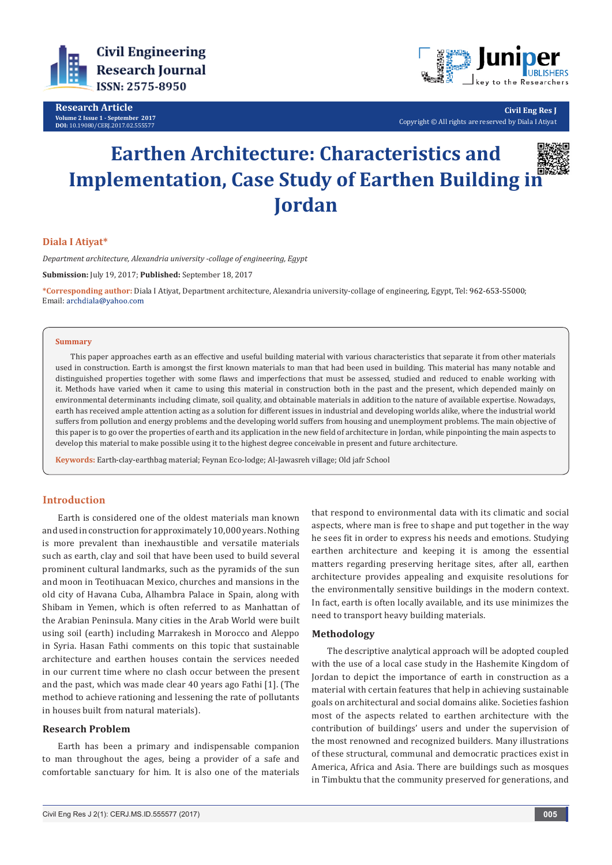

**Research Article Volume 2 Issue 1 - September 2017 DOI:** [10.19080/CERJ.2017.02.555577](http://dx.doi.org/10.19080/CERJ.2017.02.555577
)



**Civil Eng Res J** Copyright © All rights are reserved by Diala I Atiyat

# **Earthen Architecture: Characteristics and Implementation, Case Study of Earthen Building in Jordan**



# **Diala I Atiyat\***

*Department architecture, Alexandria university -collage of engineering, Egypt*

**Submission:** July 19, 2017; **Published:** September 18, 2017

**\*Corresponding author:** Diala I Atiyat, Department architecture, Alexandria university-collage of engineering, Egypt, Tel: ; Email: archdiala@vahoo.com

#### **Summary**

This paper approaches earth as an effective and useful building material with various characteristics that separate it from other materials used in construction. Earth is amongst the first known materials to man that had been used in building. This material has many notable and distinguished properties together with some flaws and imperfections that must be assessed, studied and reduced to enable working with it. Methods have varied when it came to using this material in construction both in the past and the present, which depended mainly on environmental determinants including climate, soil quality, and obtainable materials in addition to the nature of available expertise. Nowadays, earth has received ample attention acting as a solution for different issues in industrial and developing worlds alike, where the industrial world suffers from pollution and energy problems and the developing world suffers from housing and unemployment problems. The main objective of this paper is to go over the properties of earth and its application in the new field of architecture in Jordan, while pinpointing the main aspects to develop this material to make possible using it to the highest degree conceivable in present and future architecture.

**Keywords:** Earth-clay-earthbag material; Feynan Eco-lodge; Al-Jawasreh village; Old jafr School

# **Introduction**

Earth is considered one of the oldest materials man known and used in construction for approximately 10,000 years. Nothing is more prevalent than inexhaustible and versatile materials such as earth, clay and soil that have been used to build several prominent cultural landmarks, such as the pyramids of the sun and moon in Teotihuacan Mexico, churches and mansions in the old city of Havana Cuba, Alhambra Palace in Spain, along with Shibam in Yemen, which is often referred to as Manhattan of the Arabian Peninsula. Many cities in the Arab World were built using soil (earth) including Marrakesh in Morocco and Aleppo in Syria. Hasan Fathi comments on this topic that sustainable architecture and earthen houses contain the services needed in our current time where no clash occur between the present and the past, which was made clear 40 years ago Fathi [1]. (The method to achieve rationing and lessening the rate of pollutants in houses built from natural materials).

## **Research Problem**

Earth has been a primary and indispensable companion to man throughout the ages, being a provider of a safe and comfortable sanctuary for him. It is also one of the materials that respond to environmental data with its climatic and social aspects, where man is free to shape and put together in the way he sees fit in order to express his needs and emotions. Studying earthen architecture and keeping it is among the essential matters regarding preserving heritage sites, after all, earthen architecture provides appealing and exquisite resolutions for the environmentally sensitive buildings in the modern context. In fact, earth is often locally available, and its use minimizes the need to transport heavy building materials.

# **Methodology**

The descriptive analytical approach will be adopted coupled with the use of a local case study in the Hashemite Kingdom of Jordan to depict the importance of earth in construction as a material with certain features that help in achieving sustainable goals on architectural and social domains alike. Societies fashion most of the aspects related to earthen architecture with the contribution of buildings' users and under the supervision of the most renowned and recognized builders. Many illustrations of these structural, communal and democratic practices exist in America, Africa and Asia. There are buildings such as mosques in Timbuktu that the community preserved for generations, and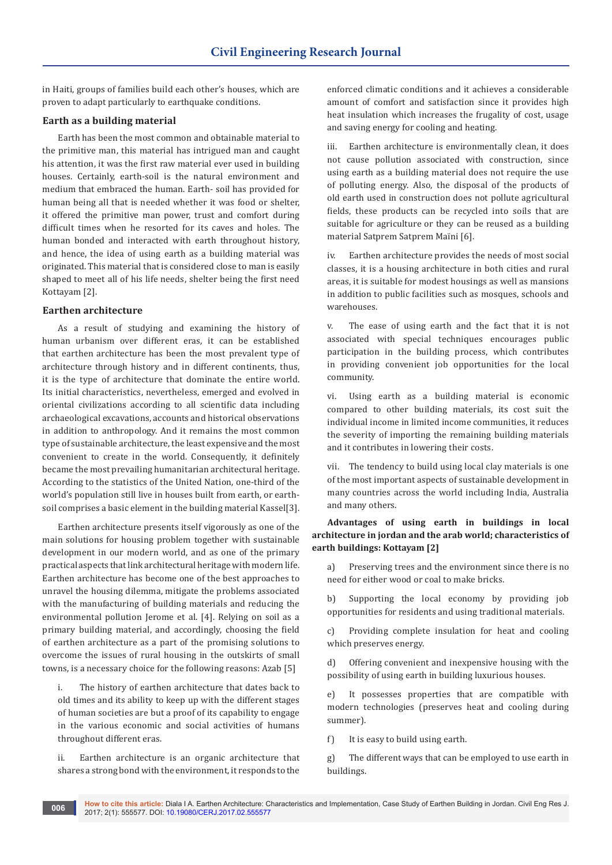in Haiti, groups of families build each other's houses, which are proven to adapt particularly to earthquake conditions.

# **Earth as a building material**

Earth has been the most common and obtainable material to the primitive man, this material has intrigued man and caught his attention, it was the first raw material ever used in building houses. Certainly, earth-soil is the natural environment and medium that embraced the human. Earth- soil has provided for human being all that is needed whether it was food or shelter, it offered the primitive man power, trust and comfort during difficult times when he resorted for its caves and holes. The human bonded and interacted with earth throughout history, and hence, the idea of using earth as a building material was originated. This material that is considered close to man is easily shaped to meet all of his life needs, shelter being the first need Kottayam [2].

## **Earthen architecture**

As a result of studying and examining the history of human urbanism over different eras, it can be established that earthen architecture has been the most prevalent type of architecture through history and in different continents, thus, it is the type of architecture that dominate the entire world. Its initial characteristics, nevertheless, emerged and evolved in oriental civilizations according to all scientific data including archaeological excavations, accounts and historical observations in addition to anthropology. And it remains the most common type of sustainable architecture, the least expensive and the most convenient to create in the world. Consequently, it definitely became the most prevailing humanitarian architectural heritage. According to the statistics of the United Nation, one-third of the world's population still live in houses built from earth, or earthsoil comprises a basic element in the building material Kassel[3].

Earthen architecture presents itself vigorously as one of the main solutions for housing problem together with sustainable development in our modern world, and as one of the primary practical aspects that link architectural heritage with modern life. Earthen architecture has become one of the best approaches to unravel the housing dilemma, mitigate the problems associated with the manufacturing of building materials and reducing the environmental pollution Jerome et al. [4]. Relying on soil as a primary building material, and accordingly, choosing the field of earthen architecture as a part of the promising solutions to overcome the issues of rural housing in the outskirts of small towns, is a necessary choice for the following reasons: Azab [5]

i. The history of earthen architecture that dates back to old times and its ability to keep up with the different stages of human societies are but a proof of its capability to engage in the various economic and social activities of humans throughout different eras.

ii. Earthen architecture is an organic architecture that shares a strong bond with the environment, it responds to the

enforced climatic conditions and it achieves a considerable amount of comfort and satisfaction since it provides high heat insulation which increases the frugality of cost, usage and saving energy for cooling and heating.

iii. Earthen architecture is environmentally clean, it does not cause pollution associated with construction, since using earth as a building material does not require the use of polluting energy. Also, the disposal of the products of old earth used in construction does not pollute agricultural fields, these products can be recycled into soils that are suitable for agriculture or they can be reused as a building material Satprem Satprem Maïni [6].

iv. Earthen architecture provides the needs of most social classes, it is a housing architecture in both cities and rural areas, it is suitable for modest housings as well as mansions in addition to public facilities such as mosques, schools and warehouses.

v. The ease of using earth and the fact that it is not associated with special techniques encourages public participation in the building process, which contributes in providing convenient job opportunities for the local community.

vi. Using earth as a building material is economic compared to other building materials, its cost suit the individual income in limited income communities, it reduces the severity of importing the remaining building materials and it contributes in lowering their costs.

vii. The tendency to build using local clay materials is one of the most important aspects of sustainable development in many countries across the world including India, Australia and many others.

**Advantages of using earth in buildings in local architecture in jordan and the arab world; characteristics of earth buildings: Kottayam [2]**

a) Preserving trees and the environment since there is no need for either wood or coal to make bricks.

b) Supporting the local economy by providing job opportunities for residents and using traditional materials.

c) Providing complete insulation for heat and cooling which preserves energy.

d) Offering convenient and inexpensive housing with the possibility of using earth in building luxurious houses.

e) It possesses properties that are compatible with modern technologies (preserves heat and cooling during summer).

f) It is easy to build using earth.

g) The different ways that can be employed to use earth in buildings.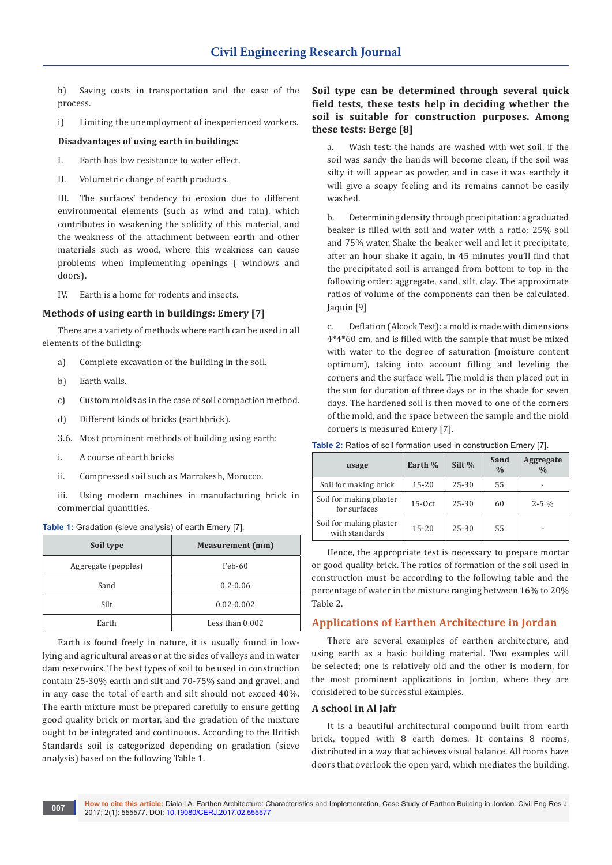h) Saving costs in transportation and the ease of the process.

i) Limiting the unemployment of inexperienced workers.

## **Disadvantages of using earth in buildings:**

- I. Earth has low resistance to water effect.
- II. Volumetric change of earth products.

III. The surfaces' tendency to erosion due to different environmental elements (such as wind and rain), which contributes in weakening the solidity of this material, and the weakness of the attachment between earth and other materials such as wood, where this weakness can cause problems when implementing openings ( windows and doors).

IV. Earth is a home for rodents and insects.

# **Methods of using earth in buildings: Emery [7]**

There are a variety of methods where earth can be used in all elements of the building:

- a) Complete excavation of the building in the soil.
- b) Earth walls.
- c) Custom molds as in the case of soil compaction method.
- d) Different kinds of bricks (earthbrick).
- 3.6. Most prominent methods of building using earth:
- i. A course of earth bricks
- ii. Compressed soil such as Marrakesh, Morocco.

iii. Using modern machines in manufacturing brick in commercial quantities.

#### **Table 1:** Gradation (sieve analysis) of earth Emery [7].

| Soil type           | <b>Measurement</b> (mm) |  |  |
|---------------------|-------------------------|--|--|
| Aggregate (pepples) | Feb-60                  |  |  |
| Sand                | $0.2 - 0.06$            |  |  |
| Silt                | $0.02 - 0.002$          |  |  |
| Earth               | Less than 0.002         |  |  |

Earth is found freely in nature, it is usually found in lowlying and agricultural areas or at the sides of valleys and in water dam reservoirs. The best types of soil to be used in construction contain 25-30% earth and silt and 70-75% sand and gravel, and in any case the total of earth and silt should not exceed 40%. The earth mixture must be prepared carefully to ensure getting good quality brick or mortar, and the gradation of the mixture ought to be integrated and continuous. According to the British Standards soil is categorized depending on gradation (sieve analysis) based on the following Table 1.

# **Soil type can be determined through several quick field tests, these tests help in deciding whether the soil is suitable for construction purposes. Among these tests: Berge [8]**

a. Wash test: the hands are washed with wet soil, if the soil was sandy the hands will become clean, if the soil was silty it will appear as powder, and in case it was earthdy it will give a soapy feeling and its remains cannot be easily washed.

b. Determining density through precipitation: a graduated beaker is filled with soil and water with a ratio: 25% soil and 75% water. Shake the beaker well and let it precipitate, after an hour shake it again, in 45 minutes you'll find that the precipitated soil is arranged from bottom to top in the following order: aggregate, sand, silt, clay. The approximate ratios of volume of the components can then be calculated. Jaquin [9]

c. Deflation (Alcock Test): a mold is made with dimensions 4\*4\*60 cm, and is filled with the sample that must be mixed with water to the degree of saturation (moisture content optimum), taking into account filling and leveling the corners and the surface well. The mold is then placed out in the sun for duration of three days or in the shade for seven days. The hardened soil is then moved to one of the corners of the mold, and the space between the sample and the mold corners is measured Emery [7].

| usage                                     | Earth %   | Silt %    | Sand<br>$\frac{0}{0}$ | Aggregate<br>$\frac{0}{0}$ |
|-------------------------------------------|-----------|-----------|-----------------------|----------------------------|
| Soil for making brick                     | $15 - 20$ | $25 - 30$ | 55                    |                            |
| Soil for making plaster<br>for surfaces   | $15-0ct$  | $25 - 30$ | 60                    | $2 - 5\%$                  |
| Soil for making plaster<br>with standards | $15 - 20$ | $25 - 30$ | 55                    |                            |

**Table 2:** Ratios of soil formation used in construction Emery [7].

Hence, the appropriate test is necessary to prepare mortar or good quality brick. The ratios of formation of the soil used in construction must be according to the following table and the percentage of water in the mixture ranging between 16% to 20% Table 2.

# **Applications of Earthen Architecture in Jordan**

There are several examples of earthen architecture, and using earth as a basic building material. Two examples will be selected; one is relatively old and the other is modern, for the most prominent applications in Jordan, where they are considered to be successful examples.

### **A school in Al Jafr**

It is a beautiful architectural compound built from earth brick, topped with 8 earth domes. It contains 8 rooms, distributed in a way that achieves visual balance. All rooms have doors that overlook the open yard, which mediates the building.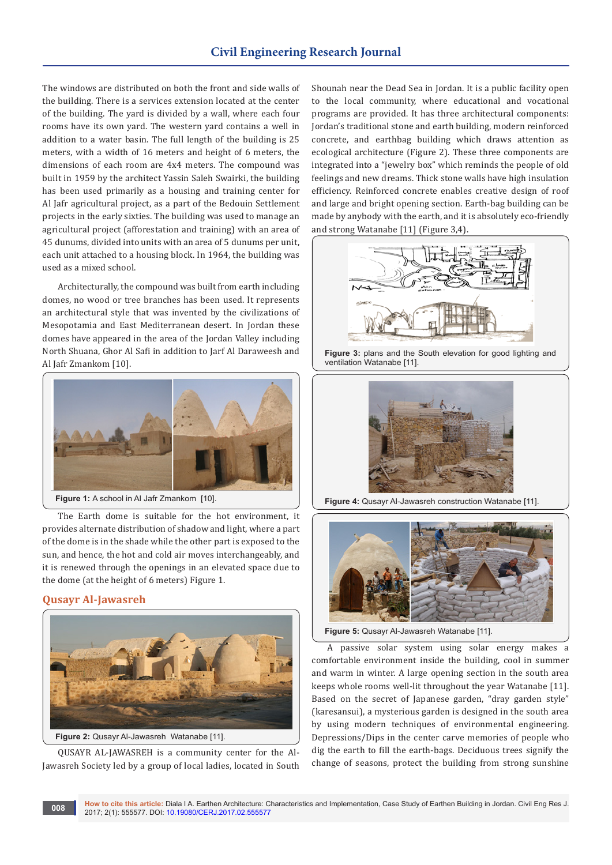The windows are distributed on both the front and side walls of the building. There is a services extension located at the center of the building. The yard is divided by a wall, where each four rooms have its own yard. The western yard contains a well in addition to a water basin. The full length of the building is 25 meters, with a width of 16 meters and height of 6 meters, the dimensions of each room are 4x4 meters. The compound was built in 1959 by the architect Yassin Saleh Swairki, the building has been used primarily as a housing and training center for Al Jafr agricultural project, as a part of the Bedouin Settlement projects in the early sixties. The building was used to manage an agricultural project (afforestation and training) with an area of 45 dunums, divided into units with an area of 5 dunums per unit, each unit attached to a housing block. In 1964, the building was used as a mixed school.

Architecturally, the compound was built from earth including domes, no wood or tree branches has been used. It represents an architectural style that was invented by the civilizations of Mesopotamia and East Mediterranean desert. In Jordan these domes have appeared in the area of the Jordan Valley including North Shuana, Ghor Al Safi in addition to Jarf Al Daraweesh and Al Jafr Zmankom [10].



Figure 1: A school in Al Jafr Zmankom [10].

The Earth dome is suitable for the hot environment, it provides alternate distribution of shadow and light, where a part of the dome is in the shade while the other part is exposed to the sun, and hence, the hot and cold air moves interchangeably, and it is renewed through the openings in an elevated space due to the dome (at the height of 6 meters) Figure 1.

# **Qusayr Al-Jawasreh**



QUSAYR AL-JAWASREH is a community center for the Al-Jawasreh Society led by a group of local ladies, located in South Shounah near the Dead Sea in Jordan. It is a public facility open to the local community, where educational and vocational programs are provided. It has three architectural components: Jordan's traditional stone and earth building, modern reinforced concrete, and earthbag building which draws attention as ecological architecture (Figure 2). These three components are integrated into a "jewelry box" which reminds the people of old feelings and new dreams. Thick stone walls have high insulation efficiency. Reinforced concrete enables creative design of roof and large and bright opening section. Earth-bag building can be made by anybody with the earth, and it is absolutely eco-friendly and strong Watanabe [11] (Figure 3,4).



**Figure 3:** plans and the South elevation for good lighting and ventilation Watanabe [11].



**Figure 4:** Qusayr Al-Jawasreh construction Watanabe [11].



**Figure 5:** Qusayr Al-Jawasreh Watanabe [11].

A passive solar system using solar energy makes a comfortable environment inside the building, cool in summer and warm in winter. A large opening section in the south area keeps whole rooms well-lit throughout the year Watanabe [11]. Based on the secret of Japanese garden, "dray garden style" (karesansui), a mysterious garden is designed in the south area by using modern techniques of environmental engineering. Depressions/Dips in the center carve memories of people who dig the earth to fill the earth-bags. Deciduous trees signify the change of seasons, protect the building from strong sunshine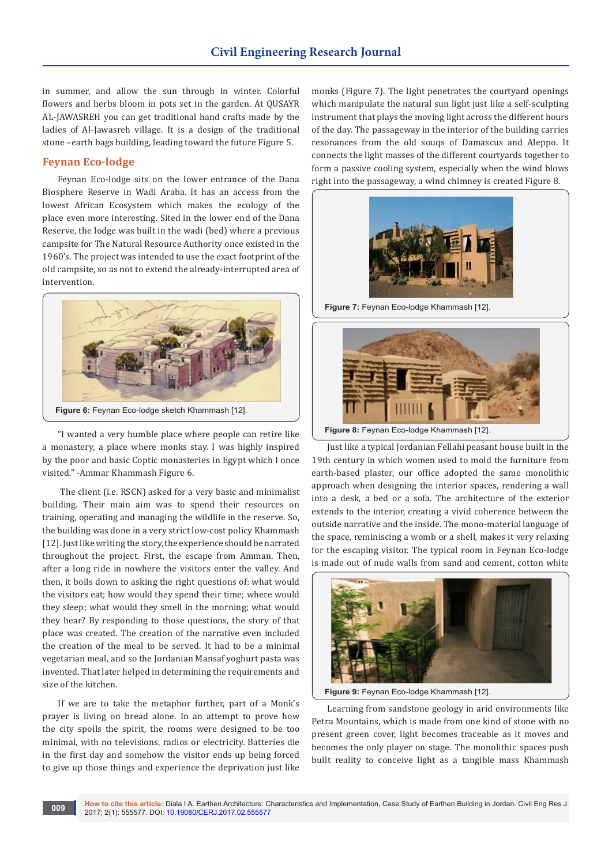in summer, and allow the sun through in winter. Colorful flowers and herbs bloom in pots set in the garden. At QUSAYR AL-JAWASREH you can get traditional hand crafts made by the ladies of Al-Jawasreh village. It is a design of the traditional stone –earth bags building, leading toward the future Figure 5.

# **Feynan Eco-lodge**

Feynan Eco-lodge sits on the lower entrance of the Dana Biosphere Reserve in Wadi Araba. It has an access from the lowest African Ecosystem which makes the ecology of the place even more interesting. Sited in the lower end of the Dana Reserve, the lodge was built in the wadi (bed) where a previous campsite for The Natural Resource Authority once existed in the 1960's. The project was intended to use the exact footprint of the old campsite, so as not to extend the already-interrupted area of intervention.



"I wanted a very humble place where people can retire like a monastery, a place where monks stay. I was highly inspired by the poor and basic Coptic monasteries in Egypt which I once visited." -Ammar Khammash Figure 6.

 The client (i.e. RSCN) asked for a very basic and minimalist building. Their main aim was to spend their resources on training, operating and managing the wildlife in the reserve. So, the building was done in a very strict low-cost policy Khammash [12]. Just like writing the story, the experience should be narrated throughout the project. First, the escape from Amman. Then, after a long ride in nowhere the visitors enter the valley. And then, it boils down to asking the right questions of: what would the visitors eat; how would they spend their time; where would they sleep; what would they smell in the morning; what would they hear? By responding to those questions, the story of that place was created. The creation of the narrative even included the creation of the meal to be served. It had to be a minimal vegetarian meal, and so the Jordanian Mansaf yoghurt pasta was invented. That later helped in determining the requirements and size of the kitchen.

If we are to take the metaphor further, part of a Monk's prayer is living on bread alone. In an attempt to prove how the city spoils the spirit, the rooms were designed to be too minimal, with no televisions, radios or electricity. Batteries die in the first day and somehow the visitor ends up being forced to give up those things and experience the deprivation just like

monks (Figure 7). The light penetrates the courtyard openings which manipulate the natural sun light just like a self-sculpting instrument that plays the moving light across the different hours of the day. The passageway in the interior of the building carries resonances from the old souqs of Damascus and Aleppo. It connects the light masses of the different courtyards together to form a passive cooling system, especially when the wind blows right into the passageway, a wind chimney is created Figure 8.



**Figure 7:** Feynan Eco-lodge Khammash [12].



**Figure 8:** Feynan Eco-lodge Khammash [12].

Just like a typical Jordanian Fellahi peasant house built in the 19th century in which women used to mold the furniture from earth-based plaster, our office adopted the same monolithic approach when designing the interior spaces, rendering a wall into a desk, a bed or a sofa. The architecture of the exterior extends to the interior, creating a vivid coherence between the outside narrative and the inside. The mono-material language of the space, reminiscing a womb or a shell, makes it very relaxing for the escaping visitor. The typical room in Feynan Eco-lodge is made out of nude walls from sand and cement, cotton white



**Figure 9:** Feynan Eco-lodge Khammash [12].

Learning from sandstone geology in arid environments like Petra Mountains, which is made from one kind of stone with no present green cover, light becomes traceable as it moves and becomes the only player on stage. The monolithic spaces push built reality to conceive light as a tangible mass Khammash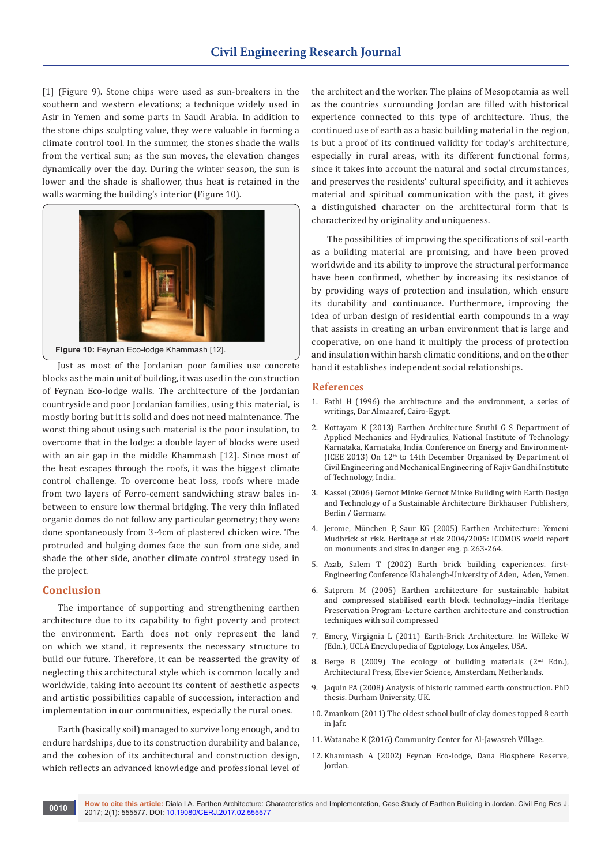[1] (Figure 9). Stone chips were used as sun-breakers in the southern and western elevations; a technique widely used in Asir in Yemen and some parts in Saudi Arabia. In addition to the stone chips sculpting value, they were valuable in forming a climate control tool. In the summer, the stones shade the walls from the vertical sun; as the sun moves, the elevation changes dynamically over the day. During the winter season, the sun is lower and the shade is shallower, thus heat is retained in the walls warming the building's interior (Figure 10).



**Figure 10:** Feynan Eco-lodge Khammash [12].

Just as most of the Jordanian poor families use concrete blocks as the main unit of building, it was used in the construction of Feynan Eco-lodge walls. The architecture of the Jordanian countryside and poor Jordanian families, using this material, is mostly boring but it is solid and does not need maintenance. The worst thing about using such material is the poor insulation, to overcome that in the lodge: a double layer of blocks were used with an air gap in the middle Khammash [12]. Since most of the heat escapes through the roofs, it was the biggest climate control challenge. To overcome heat loss, roofs where made from two layers of Ferro-cement sandwiching straw bales inbetween to ensure low thermal bridging. The very thin inflated organic domes do not follow any particular geometry; they were done spontaneously from 3-4cm of plastered chicken wire. The protruded and bulging domes face the sun from one side, and shade the other side, another climate control strategy used in the project.

## **Conclusion**

The importance of supporting and strengthening earthen architecture due to its capability to fight poverty and protect the environment. Earth does not only represent the land on which we stand, it represents the necessary structure to build our future. Therefore, it can be reasserted the gravity of neglecting this architectural style which is common locally and worldwide, taking into account its content of aesthetic aspects and artistic possibilities capable of succession, interaction and implementation in our communities, especially the rural ones.

Earth (basically soil) managed to survive long enough, and to endure hardships, due to its construction durability and balance, and the cohesion of its architectural and construction design, which reflects an advanced knowledge and professional level of the architect and the worker. The plains of Mesopotamia as well as the countries surrounding Jordan are filled with historical experience connected to this type of architecture. Thus, the continued use of earth as a basic building material in the region, is but a proof of its continued validity for today's architecture, especially in rural areas, with its different functional forms, since it takes into account the natural and social circumstances, and preserves the residents' cultural specificity, and it achieves material and spiritual communication with the past, it gives a distinguished character on the architectural form that is characterized by originality and uniqueness.

The possibilities of improving the specifications of soil-earth as a building material are promising, and have been proved worldwide and its ability to improve the structural performance have been confirmed, whether by increasing its resistance of by providing ways of protection and insulation, which ensure its durability and continuance. Furthermore, improving the idea of urban design of residential earth compounds in a way that assists in creating an urban environment that is large and cooperative, on one hand it multiply the process of protection and insulation within harsh climatic conditions, and on the other hand it establishes independent social relationships.

## **References**

- 1. Fathi H (1996) the architecture and the environment, a series of writings, Dar Almaaref, Cairo-Egypt.
- 2. Kottayam K (2013) Earthen Architecture Sruthi G S Department of Applied Mechanics and Hydraulics, National Institute of Technology Karnataka, Karnataka, India. Conference on Energy and Environment- (ICEE 2013) On 12th to 14th December Organized by Department of Civil Engineering and Mechanical Engineering of Rajiv Gandhi Institute of Technology, India.
- 3. Kassel (2006) Gernot Minke Gernot Minke Building with Earth Design and Technology of a Sustainable Architecture Birkhäuser Publishers, Berlin / Germany.
- 4. Jerome, München P, Saur KG (2005) Earthen Architecture: Yemeni Mudbrick at risk. Heritage at risk 2004/2005: ICOMOS world report on monuments and sites in danger eng, p. 263-264.
- 5. Azab, Salem T (2002) Earth brick building experiences. first-Engineering Conference Klahalengh-University of Aden, Aden, Yemen.
- 6. [Satprem M \(2005\) Earthen architecture for sustainable habitat](http://www.ada.gov.sa/idc/groups/public/documents/AR_ADA_Researches/004568.pdf)  [and compressed stabilised earth block technology–india Heritage](http://www.ada.gov.sa/idc/groups/public/documents/AR_ADA_Researches/004568.pdf)  [Preservation Program-Lecture earthen architecture and construction](http://www.ada.gov.sa/idc/groups/public/documents/AR_ADA_Researches/004568.pdf)  [techniques with soil compressed](http://www.ada.gov.sa/idc/groups/public/documents/AR_ADA_Researches/004568.pdf)
- 7. Emery, Virgignia L (2011) Earth-Brick Architecture. In: Willeke W (Edn.), UCLA Encyclupedia of Egptology, Los Angeles, USA.
- 8. Berge B (2009) The ecology of building materials (2<sup>nd</sup> Edn.), Architectural Press, Elsevier Science, Amsterdam, Netherlands.
- 9. Jaquin PA (2008) Analysis of historic rammed earth construction. PhD thesis. Durham University, UK.
- 10. Zmankom (2011) The oldest school built of clay domes topped 8 earth in Jafr.
- 11. [Watanabe K \(2016\) Community Center for Al-Jawasreh Village.](http://www.earthbagbuilding.com/projects/jordan.htm)
- 12. [Khammash A \(2002\) Feynan Eco-lodge, Dana Biosphere Reserve,](file:///D:/sandhya/new/pdf/pending/CERJ.MS.ID.555628/CERJ-RA-17-571/1.%09http:/www.khammash.com/projects/feynan-eco-lodge?field_gallery_type_tid=6)  [Jordan.](file:///D:/sandhya/new/pdf/pending/CERJ.MS.ID.555628/CERJ-RA-17-571/1.%09http:/www.khammash.com/projects/feynan-eco-lodge?field_gallery_type_tid=6)